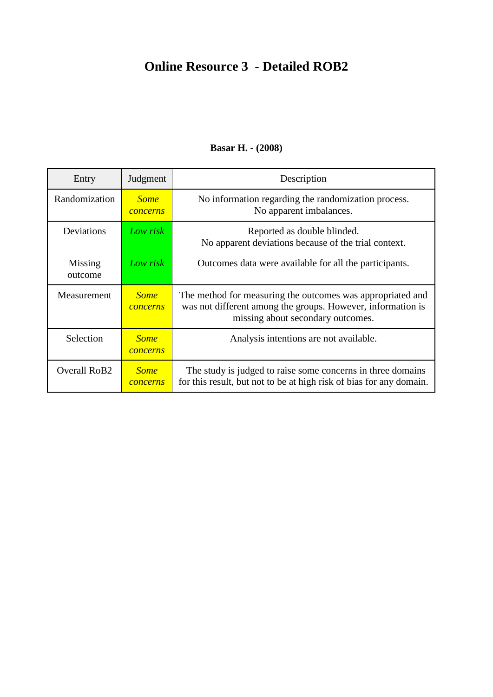# **Online Resource 3 - Detailed ROB2**

| Entry                    | Judgment                       | Description                                                                                                                                                    |
|--------------------------|--------------------------------|----------------------------------------------------------------------------------------------------------------------------------------------------------------|
| Randomization            | <b>Some</b><br>concerns        | No information regarding the randomization process.<br>No apparent imbalances.                                                                                 |
| Deviations               | Low risk                       | Reported as double blinded.<br>No apparent deviations because of the trial context.                                                                            |
| Missing<br>outcome       | Low risk                       | Outcomes data were available for all the participants.                                                                                                         |
| Measurement              | <b>Some</b><br>concerns        | The method for measuring the outcomes was appropriated and<br>was not different among the groups. However, information is<br>missing about secondary outcomes. |
| Selection                | <b>Some</b><br><i>concerns</i> | Analysis intentions are not available.                                                                                                                         |
| Overall RoB <sub>2</sub> | <b>Some</b><br>concerns        | The study is judged to raise some concerns in three domains<br>for this result, but not to be at high risk of bias for any domain.                             |

#### **Basar H. - (2008)**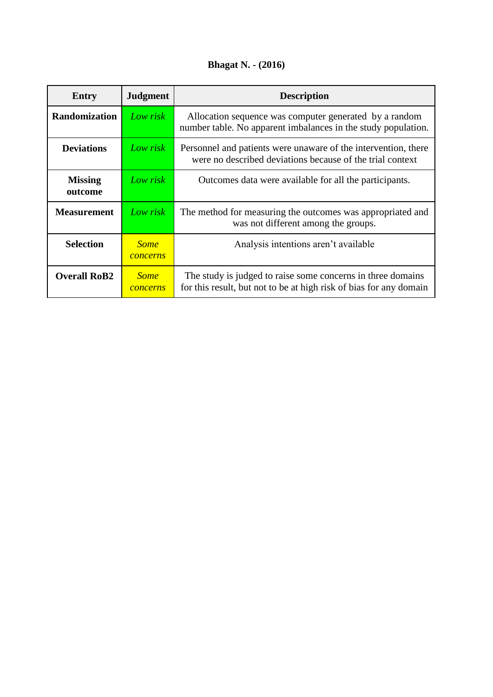## **Bhagat N. - (2016)**

| Entry                     | <b>Judgment</b>         | <b>Description</b>                                                                                                                |
|---------------------------|-------------------------|-----------------------------------------------------------------------------------------------------------------------------------|
| <b>Randomization</b>      | Low risk                | Allocation sequence was computer generated by a random<br>number table. No apparent imbalances in the study population.           |
| <b>Deviations</b>         | Low risk                | Personnel and patients were unaware of the intervention, there<br>were no described deviations because of the trial context       |
| <b>Missing</b><br>outcome | Low risk                | Outcomes data were available for all the participants.                                                                            |
| <b>Measurement</b>        | Low risk                | The method for measuring the outcomes was appropriated and<br>was not different among the groups.                                 |
| <b>Selection</b>          | <b>Some</b><br>concerns | Analysis intentions aren't available                                                                                              |
| <b>Overall RoB2</b>       | <b>Some</b><br>concerns | The study is judged to raise some concerns in three domains<br>for this result, but not to be at high risk of bias for any domain |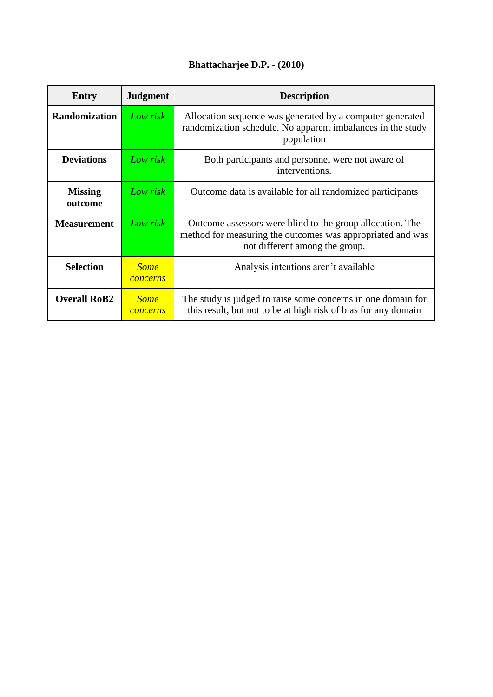## **Bhattacharjee D.P. - (2010)**

| <b>Entry</b>              | <b>Judgment</b>         | <b>Description</b>                                                                                                                                        |
|---------------------------|-------------------------|-----------------------------------------------------------------------------------------------------------------------------------------------------------|
| <b>Randomization</b>      | Low risk                | Allocation sequence was generated by a computer generated<br>randomization schedule. No apparent imbalances in the study<br>population                    |
| <b>Deviations</b>         | Low risk                | Both participants and personnel were not aware of<br>interventions.                                                                                       |
| <b>Missing</b><br>outcome | Low risk                | Outcome data is available for all randomized participants                                                                                                 |
| <b>Measurement</b>        | Low risk                | Outcome assessors were blind to the group allocation. The<br>method for measuring the outcomes was appropriated and was<br>not different among the group. |
| <b>Selection</b>          | <b>Some</b><br>concerns | Analysis intentions aren't available                                                                                                                      |
| <b>Overall RoB2</b>       | <b>Some</b><br>concerns | The study is judged to raise some concerns in one domain for<br>this result, but not to be at high risk of bias for any domain                            |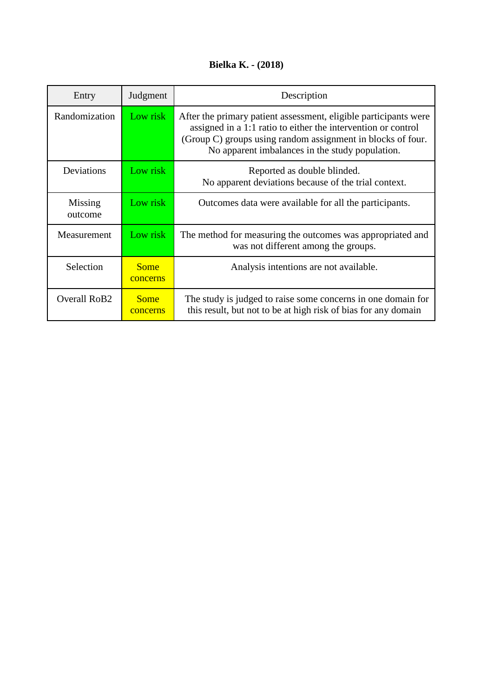## **Bielka K. - (2018)**

| Entry              | Judgment                | Description                                                                                                                                                                                                                                         |
|--------------------|-------------------------|-----------------------------------------------------------------------------------------------------------------------------------------------------------------------------------------------------------------------------------------------------|
| Randomization      | Low risk                | After the primary patient assessment, eligible participants were<br>assigned in a 1:1 ratio to either the intervention or control<br>(Group C) groups using random assignment in blocks of four.<br>No apparent imbalances in the study population. |
| Deviations         | Low risk                | Reported as double blinded.<br>No apparent deviations because of the trial context.                                                                                                                                                                 |
| Missing<br>outcome | Low risk                | Outcomes data were available for all the participants.                                                                                                                                                                                              |
| Measurement        | Low risk                | The method for measuring the outcomes was appropriated and<br>was not different among the groups.                                                                                                                                                   |
| Selection          | <b>Some</b><br>concerns | Analysis intentions are not available.                                                                                                                                                                                                              |
| Overall RoB2       | <b>Some</b><br>concerns | The study is judged to raise some concerns in one domain for<br>this result, but not to be at high risk of bias for any domain                                                                                                                      |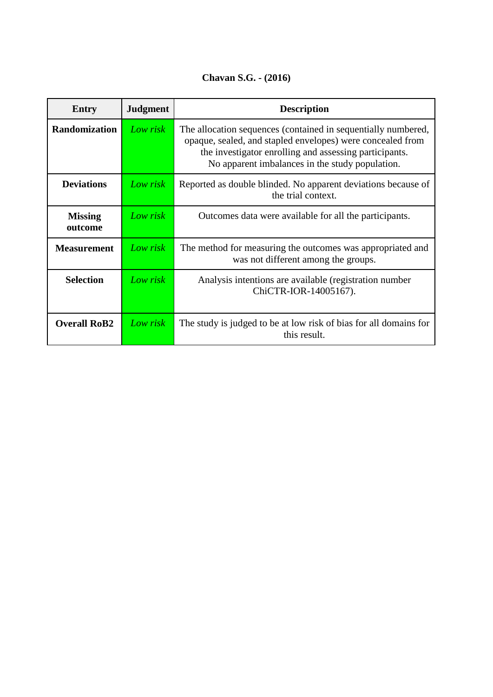**Chavan S.G. - (2016)**

| Entry                     | <b>Judgment</b> | <b>Description</b>                                                                                                                                                                                                                       |
|---------------------------|-----------------|------------------------------------------------------------------------------------------------------------------------------------------------------------------------------------------------------------------------------------------|
| <b>Randomization</b>      | Low risk        | The allocation sequences (contained in sequentially numbered,<br>opaque, sealed, and stapled envelopes) were concealed from<br>the investigator enrolling and assessing participants.<br>No apparent imbalances in the study population. |
| <b>Deviations</b>         | Low risk        | Reported as double blinded. No apparent deviations because of<br>the trial context.                                                                                                                                                      |
| <b>Missing</b><br>outcome | Low risk        | Outcomes data were available for all the participants.                                                                                                                                                                                   |
| <b>Measurement</b>        | Low risk        | The method for measuring the outcomes was appropriated and<br>was not different among the groups.                                                                                                                                        |
| <b>Selection</b>          | Low risk        | Analysis intentions are available (registration number<br>ChiCTR-IOR-14005167).                                                                                                                                                          |
| <b>Overall RoB2</b>       | Low risk        | The study is judged to be at low risk of bias for all domains for<br>this result.                                                                                                                                                        |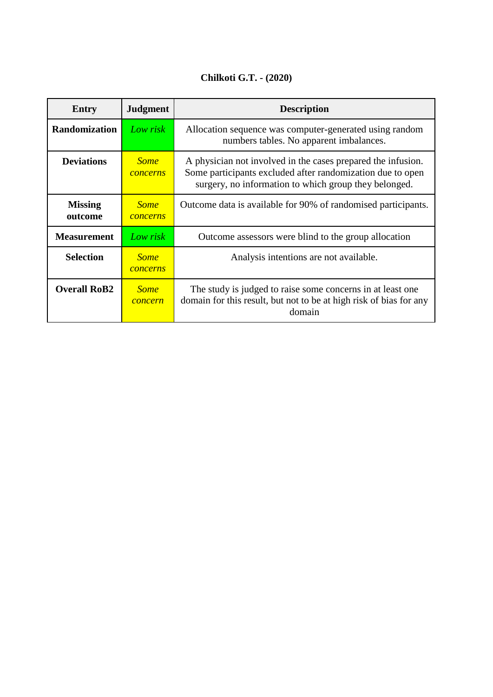#### **Chilkoti G.T. - (2020)**

| <b>Entry</b>              | <b>Judgment</b>                | <b>Description</b>                                                                                                                                                                  |
|---------------------------|--------------------------------|-------------------------------------------------------------------------------------------------------------------------------------------------------------------------------------|
| <b>Randomization</b>      | Low risk                       | Allocation sequence was computer-generated using random<br>numbers tables. No apparent imbalances.                                                                                  |
| <b>Deviations</b>         | <b>Some</b><br>concerns        | A physician not involved in the cases prepared the infusion.<br>Some participants excluded after randomization due to open<br>surgery, no information to which group they belonged. |
| <b>Missing</b><br>outcome | <b>Some</b><br><i>concerns</i> | Outcome data is available for 90% of randomised participants.                                                                                                                       |
| <b>Measurement</b>        | Low risk                       | Outcome assessors were blind to the group allocation                                                                                                                                |
| <b>Selection</b>          | <b>Some</b><br>concerns        | Analysis intentions are not available.                                                                                                                                              |
| <b>Overall RoB2</b>       | <b>Some</b><br>concern         | The study is judged to raise some concerns in at least one<br>domain for this result, but not to be at high risk of bias for any<br>domain                                          |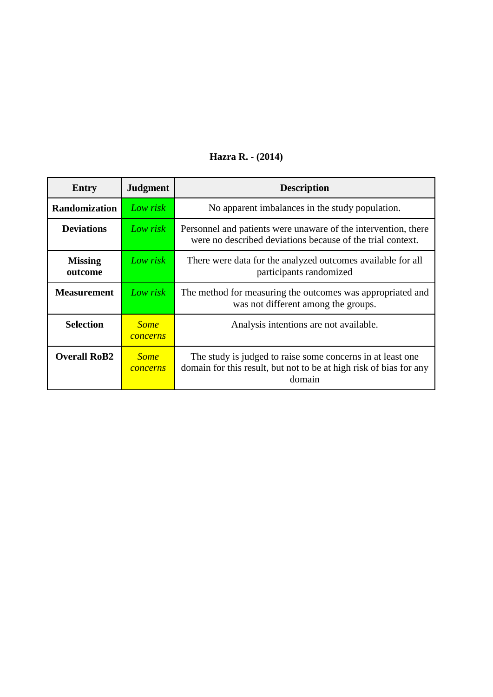| Entry                     | <b>Judgment</b>         | <b>Description</b>                                                                                                                          |
|---------------------------|-------------------------|---------------------------------------------------------------------------------------------------------------------------------------------|
| <b>Randomization</b>      | Low risk                | No apparent imbalances in the study population.                                                                                             |
| <b>Deviations</b>         | Low risk                | Personnel and patients were unaware of the intervention, there<br>were no described deviations because of the trial context.                |
| <b>Missing</b><br>outcome | Low risk                | There were data for the analyzed outcomes available for all<br>participants randomized                                                      |
| <b>Measurement</b>        | Low risk                | The method for measuring the outcomes was appropriated and<br>was not different among the groups.                                           |
| <b>Selection</b>          | <b>Some</b><br>concerns | Analysis intentions are not available.                                                                                                      |
| <b>Overall RoB2</b>       | <b>Some</b><br>concerns | The study is judged to raise some concerns in at least one.<br>domain for this result, but not to be at high risk of bias for any<br>domain |

#### **Hazra R. - (2014)**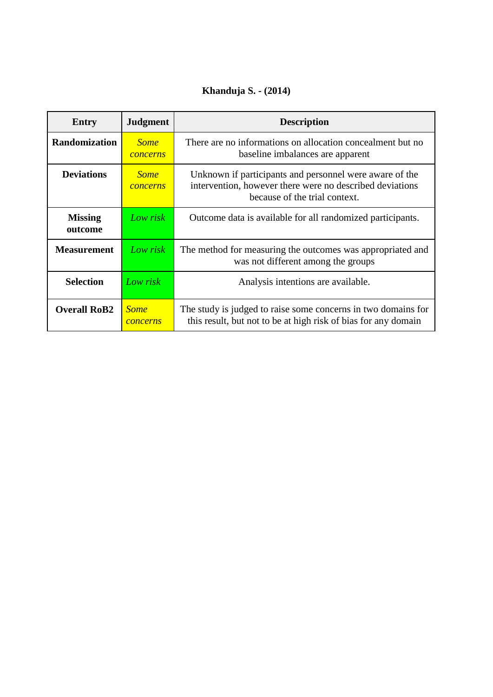## **Khanduja S. - (2014)**

| Entry                     | <b>Judgment</b>         | <b>Description</b>                                                                                                                                   |
|---------------------------|-------------------------|------------------------------------------------------------------------------------------------------------------------------------------------------|
| <b>Randomization</b>      | <b>Some</b><br>concerns | There are no informations on allocation concealment but no<br>baseline imbalances are apparent                                                       |
| <b>Deviations</b>         | <b>Some</b><br>concerns | Unknown if participants and personnel were aware of the<br>intervention, however there were no described deviations<br>because of the trial context. |
| <b>Missing</b><br>outcome | Low risk                | Outcome data is available for all randomized participants.                                                                                           |
| <b>Measurement</b>        | Low risk                | The method for measuring the outcomes was appropriated and<br>was not different among the groups                                                     |
| <b>Selection</b>          | Low risk                | Analysis intentions are available.                                                                                                                   |
| <b>Overall RoB2</b>       | <b>Some</b><br>concerns | The study is judged to raise some concerns in two domains for<br>this result, but not to be at high risk of bias for any domain                      |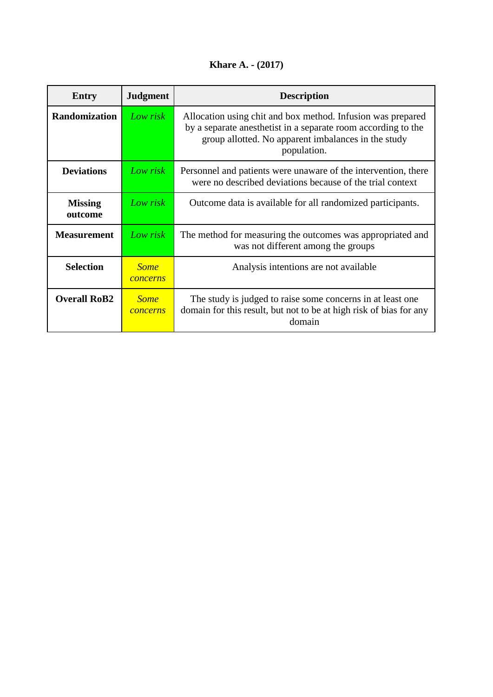## **Khare A. - (2017)**

| Entry                     | <b>Judgment</b>         | <b>Description</b>                                                                                                                                                                                 |
|---------------------------|-------------------------|----------------------------------------------------------------------------------------------------------------------------------------------------------------------------------------------------|
| <b>Randomization</b>      | Low risk                | Allocation using chit and box method. Infusion was prepared<br>by a separate anesthetist in a separate room according to the<br>group allotted. No apparent imbalances in the study<br>population. |
| <b>Deviations</b>         | Low risk                | Personnel and patients were unaware of the intervention, there<br>were no described deviations because of the trial context                                                                        |
| <b>Missing</b><br>outcome | Low risk                | Outcome data is available for all randomized participants.                                                                                                                                         |
| <b>Measurement</b>        | Low risk                | The method for measuring the outcomes was appropriated and<br>was not different among the groups                                                                                                   |
| <b>Selection</b>          | <b>Some</b><br>concerns | Analysis intentions are not available                                                                                                                                                              |
| <b>Overall RoB2</b>       | <b>Some</b><br>concerns | The study is judged to raise some concerns in at least one<br>domain for this result, but not to be at high risk of bias for any<br>domain                                                         |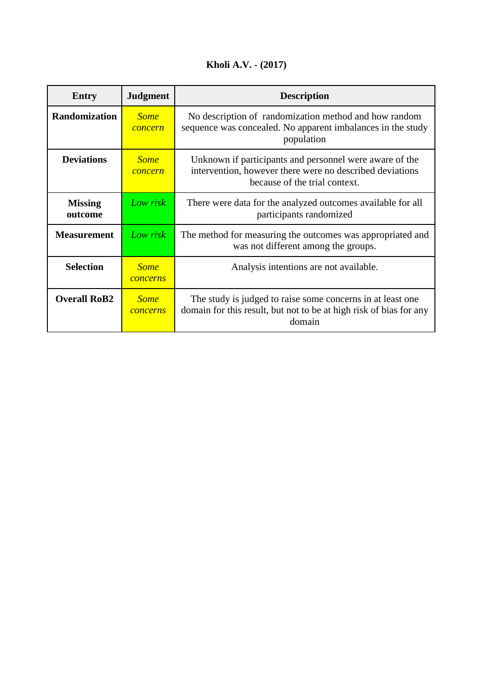## **Kholi A.V. - (2017)**

| Entry                     | <b>Judgment</b>         | <b>Description</b>                                                                                                                                   |
|---------------------------|-------------------------|------------------------------------------------------------------------------------------------------------------------------------------------------|
| <b>Randomization</b>      | <b>Some</b><br>concern  | No description of randomization method and how random<br>sequence was concealed. No apparent imbalances in the study<br>population                   |
| <b>Deviations</b>         | <b>Some</b><br>concern  | Unknown if participants and personnel were aware of the<br>intervention, however there were no described deviations<br>because of the trial context. |
| <b>Missing</b><br>outcome | Low risk                | There were data for the analyzed outcomes available for all<br>participants randomized                                                               |
| <b>Measurement</b>        | Low risk                | The method for measuring the outcomes was appropriated and<br>was not different among the groups.                                                    |
| <b>Selection</b>          | <b>Some</b><br>concerns | Analysis intentions are not available.                                                                                                               |
| <b>Overall RoB2</b>       | <b>Some</b><br>concerns | The study is judged to raise some concerns in at least one.<br>domain for this result, but not to be at high risk of bias for any<br>domain          |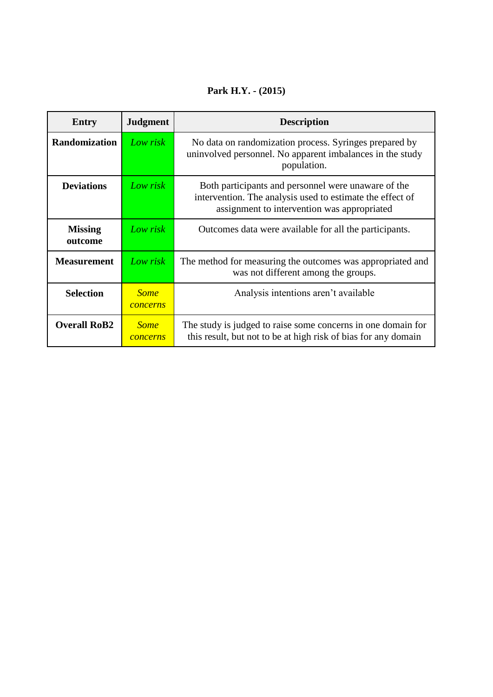#### **Park H.Y. - (2015)**

| <b>Entry</b>              | <b>Judgment</b>         | <b>Description</b>                                                                                                                                              |
|---------------------------|-------------------------|-----------------------------------------------------------------------------------------------------------------------------------------------------------------|
| <b>Randomization</b>      | Low risk                | No data on randomization process. Syringes prepared by<br>uninvolved personnel. No apparent imbalances in the study<br>population.                              |
| <b>Deviations</b>         | Low risk                | Both participants and personnel were unaware of the<br>intervention. The analysis used to estimate the effect of<br>assignment to intervention was appropriated |
| <b>Missing</b><br>outcome | Low risk                | Outcomes data were available for all the participants.                                                                                                          |
| <b>Measurement</b>        | Low risk                | The method for measuring the outcomes was appropriated and<br>was not different among the groups.                                                               |
| <b>Selection</b>          | <b>Some</b><br>concerns | Analysis intentions aren't available                                                                                                                            |
| <b>Overall RoB2</b>       | <b>Some</b><br>concerns | The study is judged to raise some concerns in one domain for<br>this result, but not to be at high risk of bias for any domain                                  |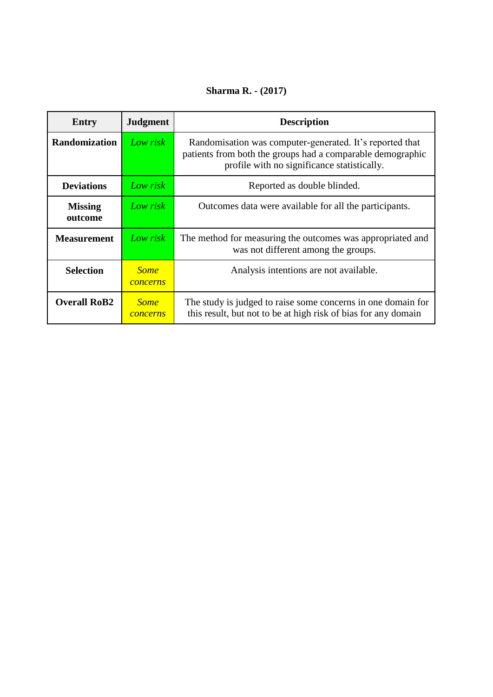## **Sharma R. - (2017)**

| Entry                     | <b>Judgment</b>         | <b>Description</b>                                                                                                                                                    |
|---------------------------|-------------------------|-----------------------------------------------------------------------------------------------------------------------------------------------------------------------|
| <b>Randomization</b>      | Low risk                | Randomisation was computer-generated. It's reported that<br>patients from both the groups had a comparable demographic<br>profile with no significance statistically. |
| <b>Deviations</b>         | Low risk                | Reported as double blinded.                                                                                                                                           |
| <b>Missing</b><br>outcome | Low risk                | Outcomes data were available for all the participants.                                                                                                                |
| <b>Measurement</b>        | Low risk                | The method for measuring the outcomes was appropriated and<br>was not different among the groups.                                                                     |
| <b>Selection</b>          | <b>Some</b><br>concerns | Analysis intentions are not available.                                                                                                                                |
| <b>Overall RoB2</b>       | <b>Some</b><br>concerns | The study is judged to raise some concerns in one domain for<br>this result, but not to be at high risk of bias for any domain                                        |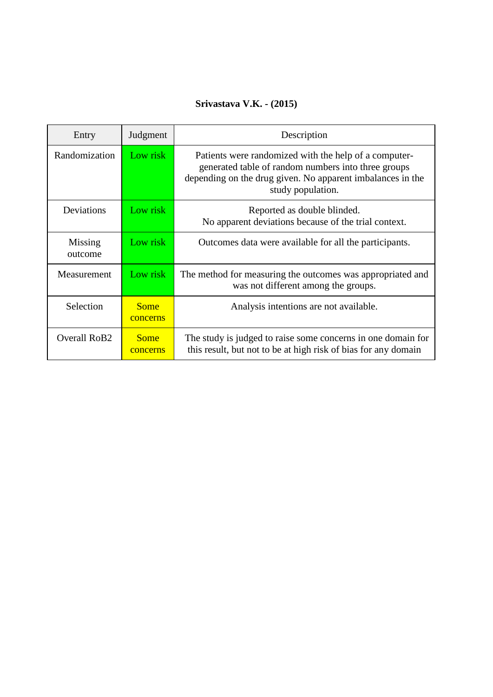#### **Srivastava V.K. - (2015)**

| Entry              | Judgment                | Description                                                                                                                                                                                     |
|--------------------|-------------------------|-------------------------------------------------------------------------------------------------------------------------------------------------------------------------------------------------|
| Randomization      | Low risk                | Patients were randomized with the help of a computer-<br>generated table of random numbers into three groups<br>depending on the drug given. No apparent imbalances in the<br>study population. |
| Deviations         | Low risk                | Reported as double blinded.<br>No apparent deviations because of the trial context.                                                                                                             |
| Missing<br>outcome | Low risk                | Outcomes data were available for all the participants.                                                                                                                                          |
| Measurement        | Low risk                | The method for measuring the outcomes was appropriated and<br>was not different among the groups.                                                                                               |
| Selection          | <b>Some</b><br>concerns | Analysis intentions are not available.                                                                                                                                                          |
| Overall RoB2       | <b>Some</b><br>concerns | The study is judged to raise some concerns in one domain for<br>this result, but not to be at high risk of bias for any domain                                                                  |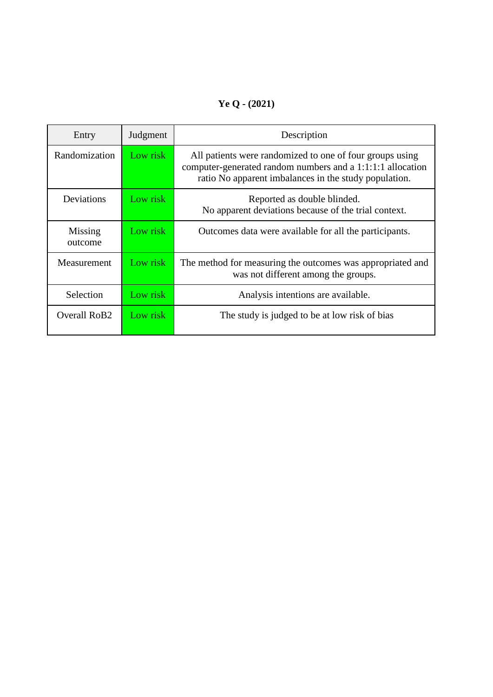## **Ye Q - (2021)**

| Entry                    | Judgment | Description                                                                                                                                                                     |
|--------------------------|----------|---------------------------------------------------------------------------------------------------------------------------------------------------------------------------------|
| Randomization            | Low risk | All patients were randomized to one of four groups using<br>computer-generated random numbers and a 1:1:1:1 allocation<br>ratio No apparent imbalances in the study population. |
| Deviations               | Low risk | Reported as double blinded.<br>No apparent deviations because of the trial context.                                                                                             |
| Missing<br>outcome       | Low risk | Outcomes data were available for all the participants.                                                                                                                          |
| Measurement              | Low risk | The method for measuring the outcomes was appropriated and<br>was not different among the groups.                                                                               |
| Selection                | Low risk | Analysis intentions are available.                                                                                                                                              |
| Overall RoB <sub>2</sub> | Low risk | The study is judged to be at low risk of bias                                                                                                                                   |